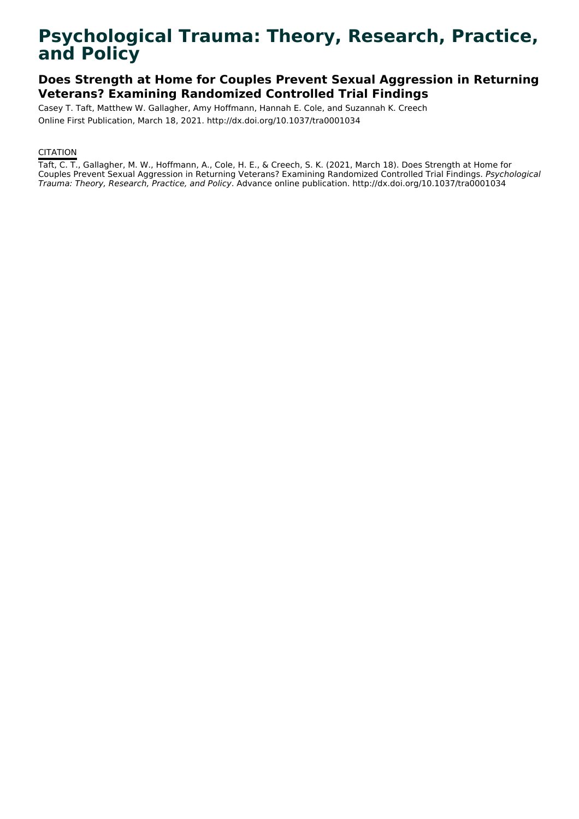# **Psychological Trauma: Theory, Research, Practice, and Policy**

## **Does Strength at Home for Couples Prevent Sexual Aggression in Returning Veterans? Examining Randomized Controlled Trial Findings**

Casey T. Taft, Matthew W. Gallagher, Amy Hoffmann, Hannah E. Cole, and Suzannah K. Creech Online First Publication, March 18, 2021. http://dx.doi.org/10.1037/tra0001034

## **CITATION**

Taft, C. T., Gallagher, M. W., Hoffmann, A., Cole, H. E., & Creech, S. K. (2021, March 18). Does Strength at Home for Couples Prevent Sexual Aggression in Returning Veterans? Examining Randomized Controlled Trial Findings. Psychological Trauma: Theory, Research, Practice, and Policy. Advance online publication. http://dx.doi.org/10.1037/tra0001034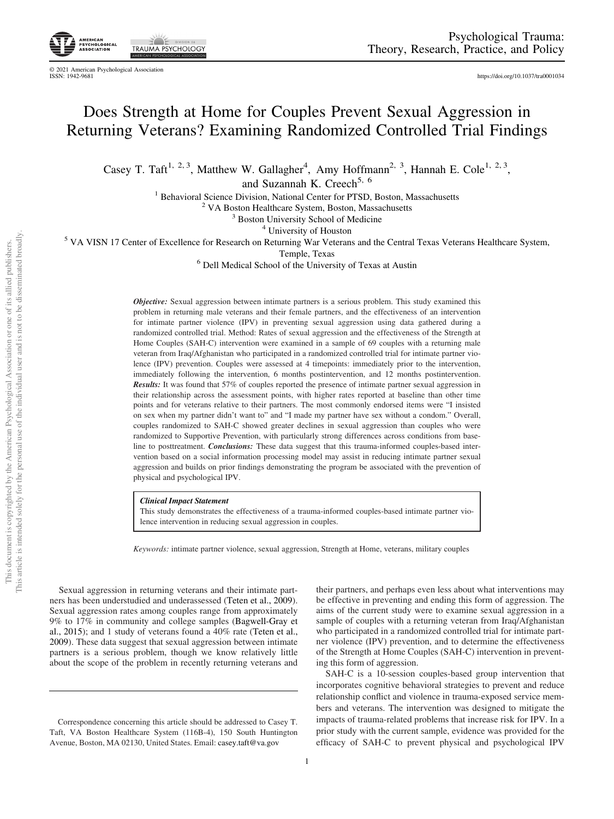EY YE **TRAUMA PSYCHOLOGY** 

© 2021 American Psychological Association ISSN: 1942-9681 <https://doi.org/10.1037/tra0001034>

## Does Strength at Home for Couples Prevent Sexual Aggression in Returning Veterans? Examining Randomized Controlled Trial Findings

Casey T. Taft<sup>1, 2, 3</sup>, Matthew W. Gallagher<sup>4</sup>, Amy Hoffmann<sup>2, 3</sup>, Hannah E. Cole<sup>1, 2, 3</sup>,

and Suzannah K. Creech<sup>5, 6</sup>

<sup>1</sup> Behavioral Science Division, National Center for PTSD, Boston, Massachusetts<br><sup>2</sup> VA Boston Healthcare System, Boston, Massachusetts<br><sup>3</sup> Boston University School of Medicine<br><sup>4</sup> University of Houston<br><sup>5</sup> VA VISN 17 Cen

Temple, Texas<br><sup>6</sup> Dell Medical School of the University of Texas at Austin

**Objective:** Sexual aggression between intimate partners is a serious problem. This study examined this problem in returning male veterans and their female partners, and the effectiveness of an intervention for intimate partner violence (IPV) in preventing sexual aggression using data gathered during a randomized controlled trial. Method: Rates of sexual aggression and the effectiveness of the Strength at Home Couples (SAH-C) intervention were examined in a sample of 69 couples with a returning male veteran from Iraq/Afghanistan who participated in a randomized controlled trial for intimate partner violence (IPV) prevention. Couples were assessed at 4 timepoints: immediately prior to the intervention, immediately following the intervention, 6 months postintervention, and 12 months postintervention. Results: It was found that 57% of couples reported the presence of intimate partner sexual aggression in their relationship across the assessment points, with higher rates reported at baseline than other time points and for veterans relative to their partners. The most commonly endorsed items were "I insisted on sex when my partner didn't want to" and "I made my partner have sex without a condom." Overall, couples randomized to SAH-C showed greater declines in sexual aggression than couples who were randomized to Supportive Prevention, with particularly strong differences across conditions from baseline to posttreatment. *Conclusions:* These data suggest that this trauma-informed couples-based intervention based on a social information processing model may assist in reducing intimate partner sexual aggression and builds on prior findings demonstrating the program be associated with the prevention of physical and psychological IPV.

#### Clinical Impact Statement

This study demonstrates the effectiveness of a trauma-informed couples-based intimate partner violence intervention in reducing sexual aggression in couples.

Keywords: intimate partner violence, sexual aggression, Strength at Home, veterans, military couples

Sexual aggression in returning veterans and their intimate partners has been understudied and underassessed (Teten et al., 2009). Sexual aggression rates among couples range from approximately 9% to 17% in community and college samples (Bagwell-Gray et al., 2015); and 1 study of veterans found a 40% rate (Teten et al., 2009). These data suggest that sexual aggression between intimate partners is a serious problem, though we know relatively little about the scope of the problem in recently returning veterans and

their partners, and perhaps even less about what interventions may be effective in preventing and ending this form of aggression. The aims of the current study were to examine sexual aggression in a sample of couples with a returning veteran from Iraq/Afghanistan who participated in a randomized controlled trial for intimate partner violence (IPV) prevention, and to determine the effectiveness of the Strength at Home Couples (SAH-C) intervention in preventing this form of aggression.

SAH-C is a 10-session couples-based group intervention that incorporates cognitive behavioral strategies to prevent and reduce relationship conflict and violence in trauma-exposed service members and veterans. The intervention was designed to mitigate the impacts of trauma-related problems that increase risk for IPV. In a prior study with the current sample, evidence was provided for the efficacy of SAH-C to prevent physical and psychological IPV

Correspondence concerning this article should be addressed to Casey T. Taft, VA Boston Healthcare System (116B-4), 150 South Huntington Avenue, Boston, MA 02130, United States. Email: [casey.taft@va.gov](mailto:casey.taft@va.gov)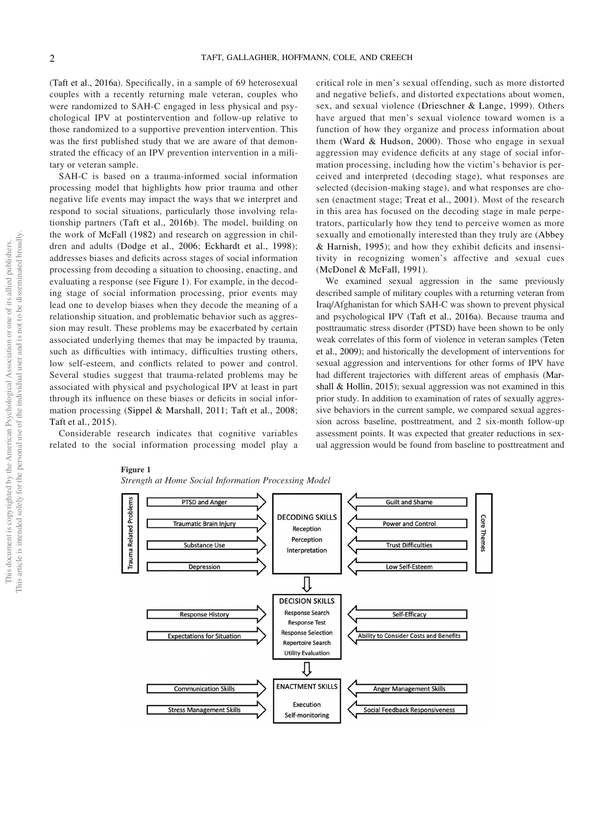(Taft et al., 2016a). Specifically, in a sample of 69 heterosexual couples with a recently returning male veteran, couples who were randomized to SAH-C engaged in less physical and psychological IPV at postintervention and follow-up relative to those randomized to a supportive prevention intervention. This was the first published study that we are aware of that demonstrated the efficacy of an IPV prevention intervention in a military or veteran sample.

SAH-C is based on a trauma-informed social information processing model that highlights how prior trauma and other negative life events may impact the ways that we interpret and respond to social situations, particularly those involving relationship partners (Taft et al., 2016b). The model, building on the work of McFall (1982) and research on aggression in children and adults (Dodge et al., 2006; Eckhardt et al., 1998); addresses biases and deficits across stages of social information processing from decoding a situation to choosing, enacting, and evaluating a response (see Figure 1). For example, in the decoding stage of social information processing, prior events may lead one to develop biases when they decode the meaning of a relationship situation, and problematic behavior such as aggression may result. These problems may be exacerbated by certain associated underlying themes that may be impacted by trauma, such as difficulties with intimacy, difficulties trusting others, low self-esteem, and conflicts related to power and control. Several studies suggest that trauma-related problems may be associated with physical and psychological IPV at least in part through its influence on these biases or deficits in social information processing (Sippel & Marshall, 2011; Taft et al., 2008; Taft et al., 2015).

Considerable research indicates that cognitive variables related to the social information processing model play a

## critical role in men's sexual offending, such as more distorted and negative beliefs, and distorted expectations about women, sex, and sexual violence (Drieschner & Lange, 1999). Others have argued that men's sexual violence toward women is a function of how they organize and process information about them (Ward & Hudson, 2000). Those who engage in sexual aggression may evidence deficits at any stage of social information processing, including how the victim's behavior is perceived and interpreted (decoding stage), what responses are selected (decision-making stage), and what responses are chosen (enactment stage; Treat et al., 2001). Most of the research in this area has focused on the decoding stage in male perpetrators, particularly how they tend to perceive women as more sexually and emotionally interested than they truly are (Abbey & Harnish, 1995); and how they exhibit deficits and insensitivity in recognizing women's affective and sexual cues (McDonel & McFall, 1991).

We examined sexual aggression in the same previously described sample of military couples with a returning veteran from Iraq/Afghanistan for which SAH-C was shown to prevent physical and psychological IPV (Taft et al., 2016a). Because trauma and posttraumatic stress disorder (PTSD) have been shown to be only weak correlates of this form of violence in veteran samples (Teten et al., 2009); and historically the development of interventions for sexual aggression and interventions for other forms of IPV have had different trajectories with different areas of emphasis (Marshall & Hollin, 2015); sexual aggression was not examined in this prior study. In addition to examination of rates of sexually aggressive behaviors in the current sample, we compared sexual aggression across baseline, posttreatment, and 2 six-month follow-up assessment points. It was expected that greater reductions in sexual aggression would be found from baseline to posttreatment and



#### Figure 1

Strength at Home Social Information Processing Model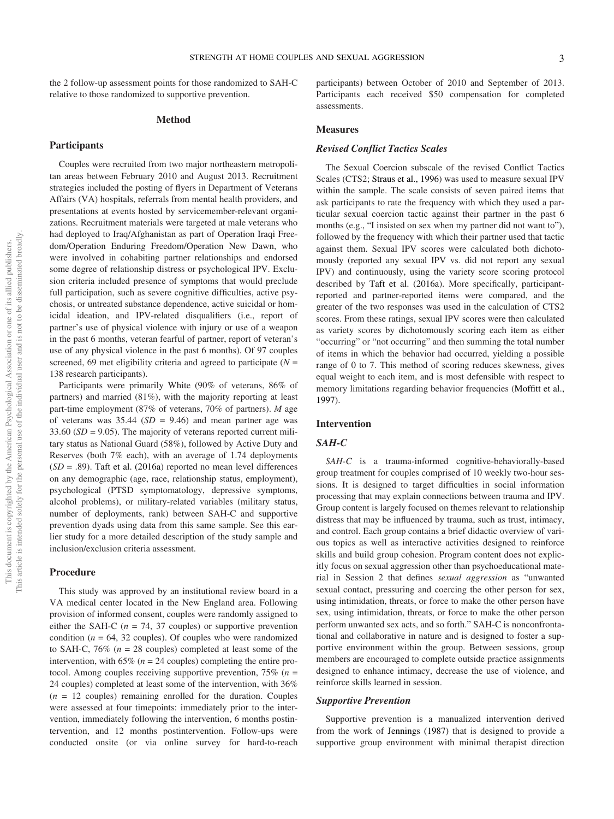the 2 follow-up assessment points for those randomized to SAH-C relative to those randomized to supportive prevention.

#### Method

#### **Participants**

Couples were recruited from two major northeastern metropolitan areas between February 2010 and August 2013. Recruitment strategies included the posting of flyers in Department of Veterans Affairs (VA) hospitals, referrals from mental health providers, and presentations at events hosted by servicemember-relevant organizations. Recruitment materials were targeted at male veterans who had deployed to Iraq/Afghanistan as part of Operation Iraqi Freedom/Operation Enduring Freedom/Operation New Dawn, who were involved in cohabiting partner relationships and endorsed some degree of relationship distress or psychological IPV. Exclusion criteria included presence of symptoms that would preclude full participation, such as severe cognitive difficulties, active psychosis, or untreated substance dependence, active suicidal or homicidal ideation, and IPV-related disqualifiers (i.e., report of partner's use of physical violence with injury or use of a weapon in the past 6 months, veteran fearful of partner, report of veteran's use of any physical violence in the past 6 months). Of 97 couples screened, 69 met eligibility criteria and agreed to participate  $(N =$ 138 research participants).

Participants were primarily White (90% of veterans, 86% of partners) and married (81%), with the majority reporting at least part-time employment (87% of veterans, 70% of partners). M age of veterans was  $35.44$  ( $SD = 9.46$ ) and mean partner age was 33.60 ( $SD = 9.05$ ). The majority of veterans reported current military status as National Guard (58%), followed by Active Duty and Reserves (both 7% each), with an average of 1.74 deployments  $(SD = .89)$ . Taft et al. (2016a) reported no mean level differences on any demographic (age, race, relationship status, employment), psychological (PTSD symptomatology, depressive symptoms, alcohol problems), or military-related variables (military status, number of deployments, rank) between SAH-C and supportive prevention dyads using data from this same sample. See this earlier study for a more detailed description of the study sample and inclusion/exclusion criteria assessment.

#### Procedure

This study was approved by an institutional review board in a VA medical center located in the New England area. Following provision of informed consent, couples were randomly assigned to either the SAH-C ( $n = 74$ , 37 couples) or supportive prevention condition ( $n = 64$ , 32 couples). Of couples who were randomized to SAH-C,  $76\%$  ( $n = 28$  couples) completed at least some of the intervention, with 65% ( $n = 24$  couples) completing the entire protocol. Among couples receiving supportive prevention,  $75\%$  ( $n =$ 24 couples) completed at least some of the intervention, with 36%  $(n = 12$  couples) remaining enrolled for the duration. Couples were assessed at four timepoints: immediately prior to the intervention, immediately following the intervention, 6 months postintervention, and 12 months postintervention. Follow-ups were conducted onsite (or via online survey for hard-to-reach

participants) between October of 2010 and September of 2013. Participants each received \$50 compensation for completed assessments.

#### **Measures**

#### Revised Conflict Tactics Scales

The Sexual Coercion subscale of the revised Conflict Tactics Scales (CTS2; Straus et al., 1996) was used to measure sexual IPV within the sample. The scale consists of seven paired items that ask participants to rate the frequency with which they used a particular sexual coercion tactic against their partner in the past 6 months (e.g., "I insisted on sex when my partner did not want to"), followed by the frequency with which their partner used that tactic against them. Sexual IPV scores were calculated both dichotomously (reported any sexual IPV vs. did not report any sexual IPV) and continuously, using the variety score scoring protocol described by Taft et al. (2016a). More specifically, participantreported and partner-reported items were compared, and the greater of the two responses was used in the calculation of CTS2 scores. From these ratings, sexual IPV scores were then calculated as variety scores by dichotomously scoring each item as either "occurring" or "not occurring" and then summing the total number of items in which the behavior had occurred, yielding a possible range of 0 to 7. This method of scoring reduces skewness, gives equal weight to each item, and is most defensible with respect to memory limitations regarding behavior frequencies (Moffitt et al., 1997).

## Intervention

## SAH-C

SAH-C is a trauma-informed cognitive-behaviorally-based group treatment for couples comprised of 10 weekly two-hour sessions. It is designed to target difficulties in social information processing that may explain connections between trauma and IPV. Group content is largely focused on themes relevant to relationship distress that may be influenced by trauma, such as trust, intimacy, and control. Each group contains a brief didactic overview of various topics as well as interactive activities designed to reinforce skills and build group cohesion. Program content does not explicitly focus on sexual aggression other than psychoeducational material in Session 2 that defines sexual aggression as "unwanted sexual contact, pressuring and coercing the other person for sex, using intimidation, threats, or force to make the other person have sex, using intimidation, threats, or force to make the other person perform unwanted sex acts, and so forth." SAH-C is nonconfrontational and collaborative in nature and is designed to foster a supportive environment within the group. Between sessions, group members are encouraged to complete outside practice assignments designed to enhance intimacy, decrease the use of violence, and reinforce skills learned in session.

#### Supportive Prevention

Supportive prevention is a manualized intervention derived from the work of Jennings (1987) that is designed to provide a supportive group environment with minimal therapist direction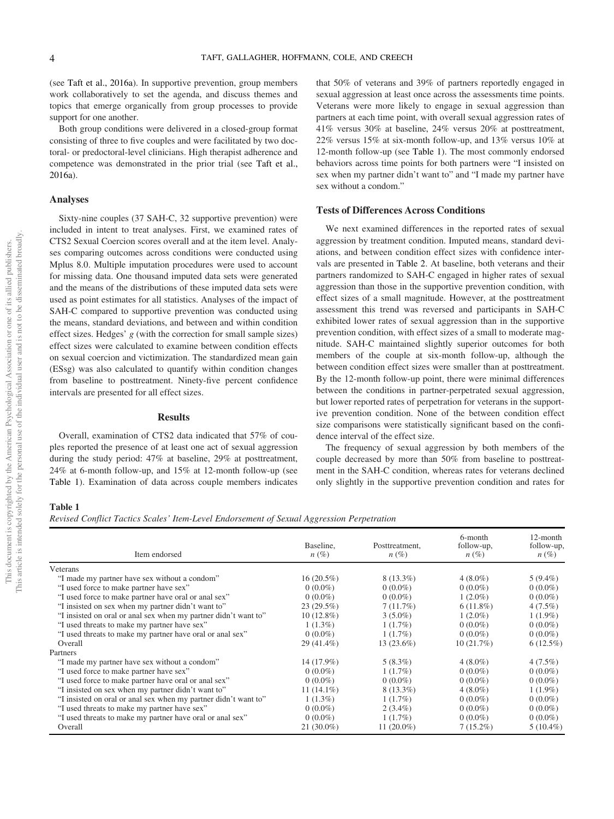(see Taft et al., 2016a). In supportive prevention, group members work collaboratively to set the agenda, and discuss themes and topics that emerge organically from group processes to provide support for one another.

Both group conditions were delivered in a closed-group format consisting of three to five couples and were facilitated by two doctoral- or predoctoral-level clinicians. High therapist adherence and competence was demonstrated in the prior trial (see Taft et al., 2016a).

#### Analyses

Sixty-nine couples (37 SAH-C, 32 supportive prevention) were included in intent to treat analyses. First, we examined rates of CTS2 Sexual Coercion scores overall and at the item level. Analyses comparing outcomes across conditions were conducted using Mplus 8.0. Multiple imputation procedures were used to account for missing data. One thousand imputed data sets were generated and the means of the distributions of these imputed data sets were used as point estimates for all statistics. Analyses of the impact of SAH-C compared to supportive prevention was conducted using the means, standard deviations, and between and within condition effect sizes. Hedges' g (with the correction for small sample sizes) effect sizes were calculated to examine between condition effects on sexual coercion and victimization. The standardized mean gain (ESsg) was also calculated to quantify within condition changes from baseline to posttreatment. Ninety-five percent confidence intervals are presented for all effect sizes.

#### Results

Overall, examination of CTS2 data indicated that 57% of couples reported the presence of at least one act of sexual aggression during the study period: 47% at baseline, 29% at posttreatment, 24% at 6-month follow-up, and 15% at 12-month follow-up (see [Table 1\)](#page-4-0). Examination of data across couple members indicates

that 50% of veterans and 39% of partners reportedly engaged in sexual aggression at least once across the assessments time points. Veterans were more likely to engage in sexual aggression than partners at each time point, with overall sexual aggression rates of 41% versus 30% at baseline, 24% versus 20% at posttreatment, 22% versus 15% at six-month follow-up, and 13% versus 10% at 12-month follow-up (see [Table 1](#page-4-0)). The most commonly endorsed behaviors across time points for both partners were "I insisted on sex when my partner didn't want to" and "I made my partner have sex without a condom."

#### Tests of Differences Across Conditions

We next examined differences in the reported rates of sexual aggression by treatment condition. Imputed means, standard deviations, and between condition effect sizes with confidence intervals are presented in [Table 2](#page-5-0). At baseline, both veterans and their partners randomized to SAH-C engaged in higher rates of sexual aggression than those in the supportive prevention condition, with effect sizes of a small magnitude. However, at the posttreatment assessment this trend was reversed and participants in SAH-C exhibited lower rates of sexual aggression than in the supportive prevention condition, with effect sizes of a small to moderate magnitude. SAH-C maintained slightly superior outcomes for both members of the couple at six-month follow-up, although the between condition effect sizes were smaller than at posttreatment. By the 12-month follow-up point, there were minimal differences between the conditions in partner-perpetrated sexual aggression, but lower reported rates of perpetration for veterans in the supportive prevention condition. None of the between condition effect size comparisons were statistically significant based on the confidence interval of the effect size.

The frequency of sexual aggression by both members of the couple decreased by more than 50% from baseline to posttreatment in the SAH-C condition, whereas rates for veterans declined only slightly in the supportive prevention condition and rates for

### <span id="page-4-0"></span>Table 1

Revised Conflict Tactics Scales' Item-Level Endorsement of Sexual Aggression Perpetration

| Item endorsed                                                   | Baseline,<br>$n(\%)$ | Posttreatment,<br>$n(\%)$ | 6-month<br>follow-up,<br>$n(\%)$ | 12-month<br>follow-up,<br>$n(\%)$ |
|-----------------------------------------------------------------|----------------------|---------------------------|----------------------------------|-----------------------------------|
| Veterans                                                        |                      |                           |                                  |                                   |
| "I made my partner have sex without a condom"                   | $16(20.5\%)$         | $8(13.3\%)$               | $4(8.0\%)$                       | $5(9.4\%)$                        |
| "I used force to make partner have sex"                         | $0(0.0\%)$           | $0(0.0\%)$                | $0(0.0\%)$                       | $0(0.0\%)$                        |
| "I used force to make partner have oral or anal sex"            | $0(0.0\%)$           | $0(0.0\%)$                | $1(2.0\%)$                       | $0(0.0\%)$                        |
| "I insisted on sex when my partner didn't want to"              | 23(29.5%)            | 7(11.7%)                  | $6(11.8\%)$                      | $4(7.5\%)$                        |
| "I insisted on oral or anal sex when my partner didn't want to" | $10(12.8\%)$         | $3(5.0\%)$                | $1(2.0\%)$                       | $1(1.9\%)$                        |
| "I used threats to make my partner have sex"                    | $1(1.3\%)$           | $1(1.7\%)$                | $0(0.0\%)$                       | $0(0.0\%)$                        |
| "I used threats to make my partner have oral or anal sex"       | $0(0.0\%)$           | $1(1.7\%)$                | $0(0.0\%)$                       | $0(0.0\%)$                        |
| Overall                                                         | 29 (41.4%)           | $13(23.6\%)$              | 10(21.7%)                        | 6(12.5%)                          |
| Partners                                                        |                      |                           |                                  |                                   |
| "I made my partner have sex without a condom"                   | 14 (17.9%)           | $5(8.3\%)$                | $4(8.0\%)$                       | $4(7.5\%)$                        |
| "I used force to make partner have sex"                         | $0(0.0\%)$           | 1(1.7%)                   | $0(0.0\%)$                       | $0(0.0\%)$                        |
| "I used force to make partner have oral or anal sex"            | $0(0.0\%)$           | $0(0.0\%)$                | $0(0.0\%)$                       | $0(0.0\%)$                        |
| "I insisted on sex when my partner didn't want to"              | $11(14.1\%)$         | $8(13.3\%)$               | $4(8.0\%)$                       | $1(1.9\%)$                        |
| "I insisted on oral or anal sex when my partner didn't want to" | $1(1.3\%)$           | $1(1.7\%)$                | $0(0.0\%)$                       | $0(0.0\%)$                        |
| "I used threats to make my partner have sex"                    | $0(0.0\%)$           | $2(3.4\%)$                | $0(0.0\%)$                       | $0(0.0\%)$                        |
| "I used threats to make my partner have oral or anal sex"       | $0(0.0\%)$           | $1(1.7\%)$                | $0(0.0\%)$                       | $0(0.0\%)$                        |
| Overall                                                         | $21(30.0\%)$         | $11(20.0\%)$              | $7(15.2\%)$                      | $5(10.4\%)$                       |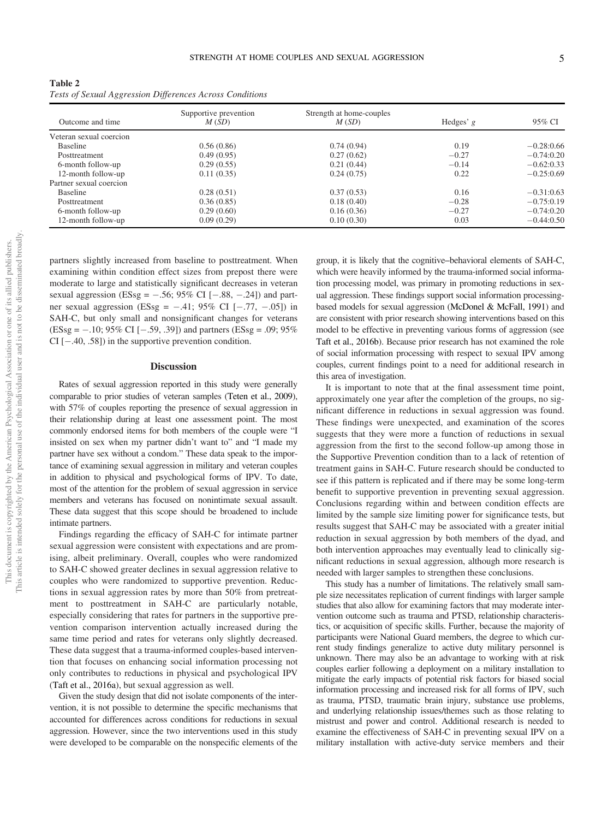<span id="page-5-0"></span>

| Outcome and time        | Supportive prevention<br>M(SD) | Strength at home-couples<br>M(SD) | Hedges' $g$ | 95% CI       |
|-------------------------|--------------------------------|-----------------------------------|-------------|--------------|
| Veteran sexual coercion |                                |                                   |             |              |
| <b>Baseline</b>         | 0.56(0.86)                     | 0.74(0.94)                        | 0.19        | $-0.28:0.66$ |
| Posttreatment           | 0.49(0.95)                     | 0.27(0.62)                        | $-0.27$     | $-0.74:0.20$ |
| 6-month follow-up       | 0.29(0.55)                     | 0.21(0.44)                        | $-0.14$     | $-0.62:0.33$ |
| 12-month follow-up      | 0.11(0.35)                     | 0.24(0.75)                        | 0.22        | $-0.25:0.69$ |
| Partner sexual coercion |                                |                                   |             |              |
| Baseline                | 0.28(0.51)                     | 0.37(0.53)                        | 0.16        | $-0.31:0.63$ |
| Posttreatment           | 0.36(0.85)                     | 0.18(0.40)                        | $-0.28$     | $-0.75:0.19$ |
| 6-month follow-up       | 0.29(0.60)                     | 0.16(0.36)                        | $-0.27$     | $-0.74:0.20$ |
| 12-month follow-up      | 0.09(0.29)                     | 0.10(0.30)                        | 0.03        | $-0.44:0.50$ |

partners slightly increased from baseline to posttreatment. When examining within condition effect sizes from prepost there were moderate to large and statistically significant decreases in veteran sexual aggression (ESsg =  $-.56$ ; 95% CI [ $-.88, -.24$ ]) and partner sexual aggression (ESsg =  $-.41$ ; 95% CI [ $-.77, -.05$ ]) in SAH-C, but only small and nonsignificant changes for veterans  $(ESsg = -.10; 95\% \text{ CI } [-.59, .39])$  and partners  $(ESsg = .09; 95\%$  $CI$   $[-.40, .58]$ ) in the supportive prevention condition.

#### **Discussion**

Rates of sexual aggression reported in this study were generally comparable to prior studies of veteran samples (Teten et al., 2009), with 57% of couples reporting the presence of sexual aggression in their relationship during at least one assessment point. The most commonly endorsed items for both members of the couple were "I insisted on sex when my partner didn't want to" and "I made my partner have sex without a condom." These data speak to the importance of examining sexual aggression in military and veteran couples in addition to physical and psychological forms of IPV. To date, most of the attention for the problem of sexual aggression in service members and veterans has focused on nonintimate sexual assault. These data suggest that this scope should be broadened to include intimate partners.

Findings regarding the efficacy of SAH-C for intimate partner sexual aggression were consistent with expectations and are promising, albeit preliminary. Overall, couples who were randomized to SAH-C showed greater declines in sexual aggression relative to couples who were randomized to supportive prevention. Reductions in sexual aggression rates by more than 50% from pretreatment to posttreatment in SAH-C are particularly notable, especially considering that rates for partners in the supportive prevention comparison intervention actually increased during the same time period and rates for veterans only slightly decreased. These data suggest that a trauma-informed couples-based intervention that focuses on enhancing social information processing not only contributes to reductions in physical and psychological IPV (Taft et al., 2016a), but sexual aggression as well.

Given the study design that did not isolate components of the intervention, it is not possible to determine the specific mechanisms that accounted for differences across conditions for reductions in sexual aggression. However, since the two interventions used in this study were developed to be comparable on the nonspecific elements of the

group, it is likely that the cognitive–behavioral elements of SAH-C, which were heavily informed by the trauma-informed social information processing model, was primary in promoting reductions in sexual aggression. These findings support social information processingbased models for sexual aggression (McDonel & McFall, 1991) and are consistent with prior research showing interventions based on this model to be effective in preventing various forms of aggression (see Taft et al., 2016b). Because prior research has not examined the role of social information processing with respect to sexual IPV among couples, current findings point to a need for additional research in this area of investigation.

It is important to note that at the final assessment time point, approximately one year after the completion of the groups, no significant difference in reductions in sexual aggression was found. These findings were unexpected, and examination of the scores suggests that they were more a function of reductions in sexual aggression from the first to the second follow-up among those in the Supportive Prevention condition than to a lack of retention of treatment gains in SAH-C. Future research should be conducted to see if this pattern is replicated and if there may be some long-term benefit to supportive prevention in preventing sexual aggression. Conclusions regarding within and between condition effects are limited by the sample size limiting power for significance tests, but results suggest that SAH-C may be associated with a greater initial reduction in sexual aggression by both members of the dyad, and both intervention approaches may eventually lead to clinically significant reductions in sexual aggression, although more research is needed with larger samples to strengthen these conclusions.

This study has a number of limitations. The relatively small sample size necessitates replication of current findings with larger sample studies that also allow for examining factors that may moderate intervention outcome such as trauma and PTSD, relationship characteristics, or acquisition of specific skills. Further, because the majority of participants were National Guard members, the degree to which current study findings generalize to active duty military personnel is unknown. There may also be an advantage to working with at risk couples earlier following a deployment on a military installation to mitigate the early impacts of potential risk factors for biased social information processing and increased risk for all forms of IPV, such as trauma, PTSD, traumatic brain injury, substance use problems, and underlying relationship issues/themes such as those relating to mistrust and power and control. Additional research is needed to examine the effectiveness of SAH-C in preventing sexual IPV on a military installation with active-duty service members and their